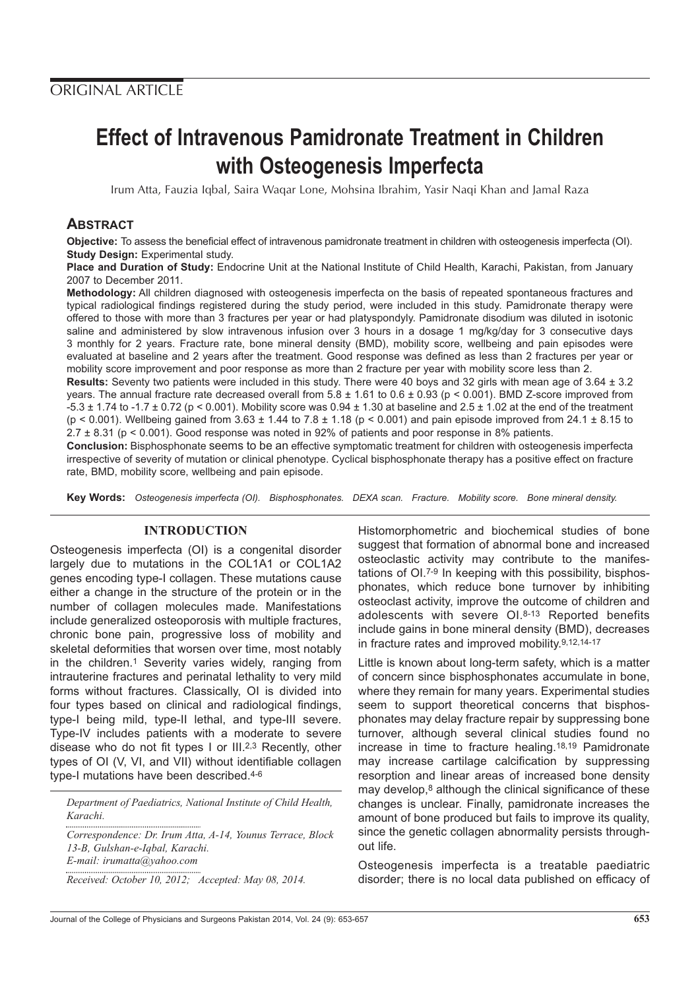# **Effect of Intravenous Pamidronate Treatment in Children with Osteogenesis Imperfecta**

Irum Atta, Fauzia Iqbal, Saira Waqar Lone, Mohsina Ibrahim, Yasir Naqi Khan and Jamal Raza

## **ABSTRACT**

**Objective:** To assess the beneficial effect of intravenous pamidronate treatment in children with osteogenesis imperfecta (OI). **Study Design: Experimental study.** 

**Place and Duration of Study:** Endocrine Unit at the National Institute of Child Health, Karachi, Pakistan, from January 2007 to December 2011.

**Methodology:** All children diagnosed with osteogenesis imperfecta on the basis of repeated spontaneous fractures and typical radiological findings registered during the study period, were included in this study. Pamidronate therapy were offered to those with more than 3 fractures per year or had platyspondyly. Pamidronate disodium was diluted in isotonic saline and administered by slow intravenous infusion over 3 hours in a dosage 1 mg/kg/day for 3 consecutive days 3 monthly for 2 years. Fracture rate, bone mineral density (BMD), mobility score, wellbeing and pain episodes were evaluated at baseline and 2 years after the treatment. Good response was defined as less than 2 fractures per year or mobility score improvement and poor response as more than 2 fracture per year with mobility score less than 2.

**Results:** Seventy two patients were included in this study. There were 40 boys and 32 girls with mean age of 3.64 ± 3.2 years. The annual fracture rate decreased overall from  $5.8 \pm 1.61$  to  $0.6 \pm 0.93$  (p < 0.001). BMD Z-score improved from  $-5.3 \pm 1.74$  to  $-1.7 \pm 0.72$  (p < 0.001). Mobility score was 0.94  $\pm$  1.30 at baseline and 2.5  $\pm$  1.02 at the end of the treatment ( $p < 0.001$ ). Wellbeing gained from  $3.63 \pm 1.44$  to  $7.8 \pm 1.18$  ( $p < 0.001$ ) and pain episode improved from  $24.1 \pm 8.15$  to 2.7 ± 8.31 (p < 0.001). Good response was noted in 92% of patients and poor response in 8% patients.

**Conclusion:** Bisphosphonate seems to be an effective symptomatic treatment for children with osteogenesis imperfecta irrespective of severity of mutation or clinical phenotype. Cyclical bisphosphonate therapy has a positive effect on fracture rate, BMD, mobility score, wellbeing and pain episode.

**Key Words:** Osteogenesis imperfecta (OI). Bisphosphonates. DEXA scan. Fracture. Mobility score. Bone mineral density.

#### **INTRODUCTION**

Osteogenesis imperfecta (OI) is a congenital disorder largely due to mutations in the COL1A1 or COL1A2 genes encoding type-I collagen. These mutations cause either a change in the structure of the protein or in the number of collagen molecules made. Manifestations include generalized osteoporosis with multiple fractures, chronic bone pain, progressive loss of mobility and skeletal deformities that worsen over time, most notably in the children.<sup>1</sup> Severity varies widely, ranging from intrauterine fractures and perinatal lethality to very mild forms without fractures. Classically, OI is divided into four types based on clinical and radiological findings, type-I being mild, type-II lethal, and type-III severe. Type-IV includes patients with a moderate to severe disease who do not fit types I or III.2,3 Recently, other types of OI (V, VI, and VII) without identifiable collagen type-I mutations have been described.4-6

*Department of Paediatrics, National Institute of Child Health, Karachi.*

*Correspondence: Dr. Irum Atta, A-14, Younus Terrace, Block 13-B, Gulshan-e-Iqbal, Karachi. E-mail: irumatta@yahoo.com*

*Received: October 10, 2012; Accepted: May 08, 2014.*

Histomorphometric and biochemical studies of bone suggest that formation of abnormal bone and increased osteoclastic activity may contribute to the manifestations of OI.7-9 In keeping with this possibility, bisphosphonates, which reduce bone turnover by inhibiting osteoclast activity, improve the outcome of children and adolescents with severe OI.8-13 Reported benefits include gains in bone mineral density (BMD), decreases in fracture rates and improved mobility.9,12,14-17

Little is known about long-term safety, which is a matter of concern since bisphosphonates accumulate in bone, where they remain for many years. Experimental studies seem to support theoretical concerns that bisphosphonates may delay fracture repair by suppressing bone turnover, although several clinical studies found no increase in time to fracture healing.18,19 Pamidronate may increase cartilage calcification by suppressing resorption and linear areas of increased bone density may develop,<sup>8</sup> although the clinical significance of these changes is unclear. Finally, pamidronate increases the amount of bone produced but fails to improve its quality, since the genetic collagen abnormality persists throughout life.

Osteogenesis imperfecta is a treatable paediatric disorder; there is no local data published on efficacy of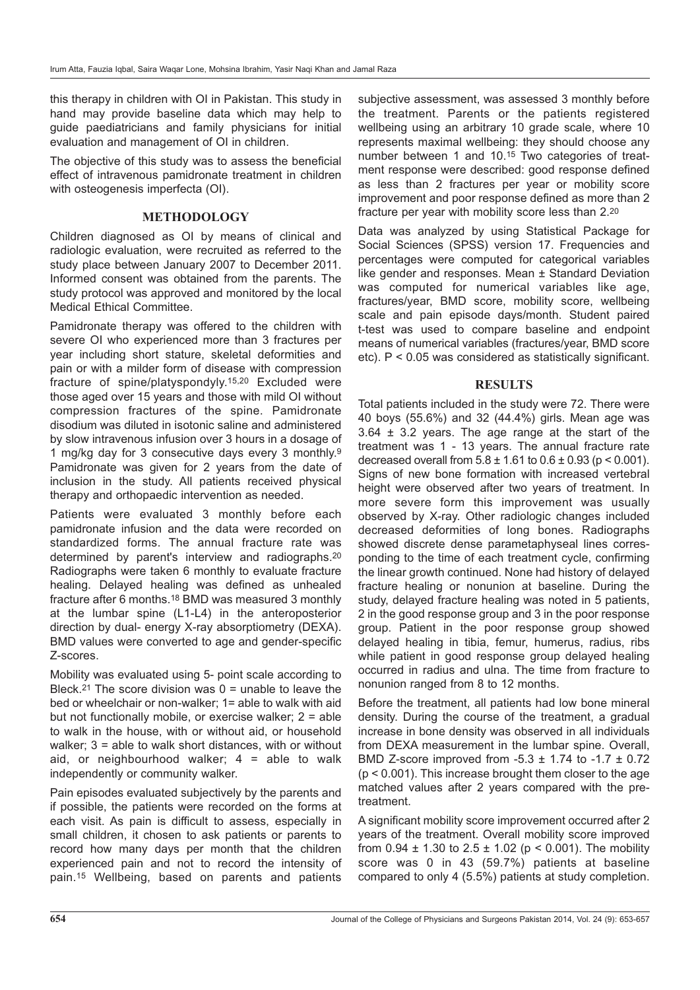this therapy in children with OI in Pakistan. This study in hand may provide baseline data which may help to guide paediatricians and family physicians for initial evaluation and management of OI in children.

The objective of this study was to assess the beneficial effect of intravenous pamidronate treatment in children with osteogenesis imperfecta (OI).

### **METHODOLOGY**

Children diagnosed as OI by means of clinical and radiologic evaluation, were recruited as referred to the study place between January 2007 to December 2011. Informed consent was obtained from the parents. The study protocol was approved and monitored by the local Medical Ethical Committee.

Pamidronate therapy was offered to the children with severe OI who experienced more than 3 fractures per year including short stature, skeletal deformities and pain or with a milder form of disease with compression fracture of spine/platyspondyly.15,20 Excluded were those aged over 15 years and those with mild OI without compression fractures of the spine. Pamidronate disodium was diluted in isotonic saline and administered by slow intravenous infusion over 3 hours in a dosage of 1 mg/kg day for 3 consecutive days every 3 monthly.9 Pamidronate was given for 2 years from the date of inclusion in the study. All patients received physical therapy and orthopaedic intervention as needed.

Patients were evaluated 3 monthly before each pamidronate infusion and the data were recorded on standardized forms. The annual fracture rate was determined by parent's interview and radiographs.20 Radiographs were taken 6 monthly to evaluate fracture healing. Delayed healing was defined as unhealed fracture after 6 months.18 BMD was measured 3 monthly at the lumbar spine (L1-L4) in the anteroposterior direction by dual- energy X-ray absorptiometry (DEXA). BMD values were converted to age and gender-specific Z-scores.

Mobility was evaluated using 5- point scale according to Bleck.<sup>21</sup> The score division was  $0 =$  unable to leave the bed or wheelchair or non-walker; 1= able to walk with aid but not functionally mobile, or exercise walker; 2 = able to walk in the house, with or without aid, or household walker; 3 = able to walk short distances, with or without aid, or neighbourhood walker;  $4 =$  able to walk independently or community walker.

Pain episodes evaluated subjectively by the parents and if possible, the patients were recorded on the forms at each visit. As pain is difficult to assess, especially in small children, it chosen to ask patients or parents to record how many days per month that the children experienced pain and not to record the intensity of pain.15 Wellbeing, based on parents and patients

subjective assessment, was assessed 3 monthly before the treatment. Parents or the patients registered wellbeing using an arbitrary 10 grade scale, where 10 represents maximal wellbeing: they should choose any number between 1 and 10.15 Two categories of treatment response were described: good response defined as less than 2 fractures per year or mobility score improvement and poor response defined as more than 2 fracture per year with mobility score less than 2.20

Data was analyzed by using Statistical Package for Social Sciences (SPSS) version 17. Frequencies and percentages were computed for categorical variables like gender and responses. Mean ± Standard Deviation was computed for numerical variables like age, fractures/year, BMD score, mobility score, wellbeing scale and pain episode days/month. Student paired t-test was used to compare baseline and endpoint means of numerical variables (fractures/year, BMD score etc). P < 0.05 was considered as statistically significant.

#### **RESULTS**

Total patients included in the study were 72. There were 40 boys (55.6%) and 32 (44.4%) girls. Mean age was  $3.64 \pm 3.2$  years. The age range at the start of the treatment was 1 - 13 years. The annual fracture rate decreased overall from  $5.8 \pm 1.61$  to  $0.6 \pm 0.93$  (p < 0.001). Signs of new bone formation with increased vertebral height were observed after two years of treatment. In more severe form this improvement was usually observed by X-ray. Other radiologic changes included decreased deformities of long bones. Radiographs showed discrete dense parametaphyseal lines corresponding to the time of each treatment cycle, confirming the linear growth continued. None had history of delayed fracture healing or nonunion at baseline. During the study, delayed fracture healing was noted in 5 patients, 2 in the good response group and 3 in the poor response group. Patient in the poor response group showed delayed healing in tibia, femur, humerus, radius, ribs while patient in good response group delayed healing occurred in radius and ulna. The time from fracture to nonunion ranged from 8 to 12 months.

Before the treatment, all patients had low bone mineral density. During the course of the treatment, a gradual increase in bone density was observed in all individuals from DEXA measurement in the lumbar spine. Overall, BMD Z-score improved from  $-5.3 \pm 1.74$  to  $-1.7 \pm 0.72$ (p < 0.001). This increase brought them closer to the age matched values after 2 years compared with the pretreatment.

A significant mobility score improvement occurred after 2 years of the treatment. Overall mobility score improved from  $0.94 \pm 1.30$  to  $2.5 \pm 1.02$  (p < 0.001). The mobility score was 0 in 43 (59.7%) patients at baseline compared to only 4 (5.5%) patients at study completion.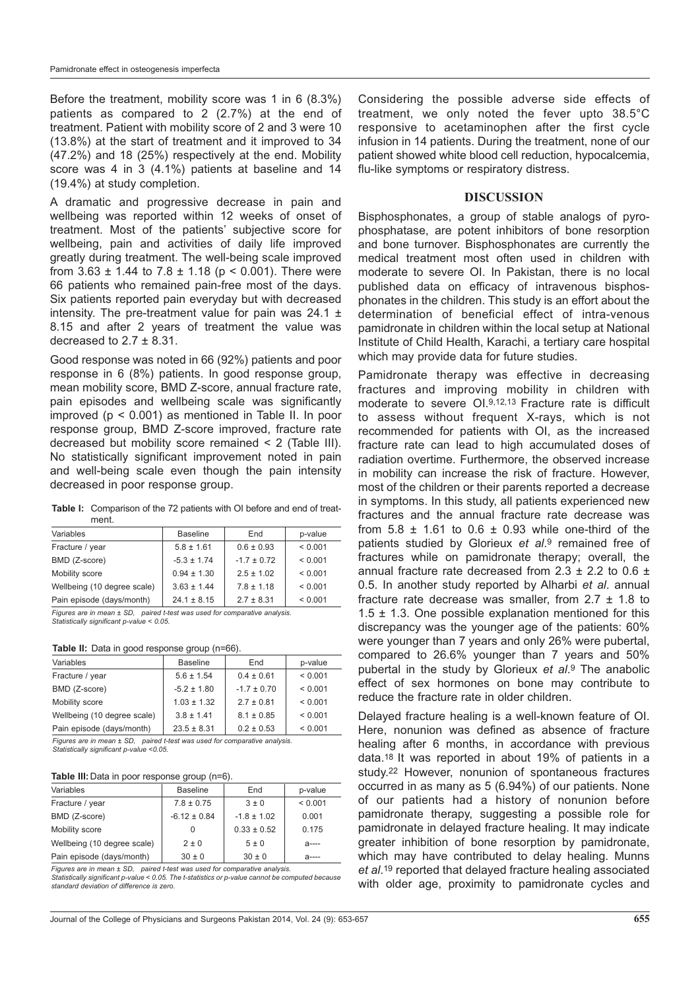Before the treatment, mobility score was 1 in 6 (8.3%) patients as compared to 2 (2.7%) at the end of treatment. Patient with mobility score of 2 and 3 were 10 (13.8%) at the start of treatment and it improved to 34 (47.2%) and 18 (25%) respectively at the end. Mobility score was 4 in 3 (4.1%) patients at baseline and 14 (19.4%) at study completion.

A dramatic and progressive decrease in pain and wellbeing was reported within 12 weeks of onset of treatment. Most of the patients' subjective score for wellbeing, pain and activities of daily life improved greatly during treatment. The well-being scale improved from  $3.63 \pm 1.44$  to  $7.8 \pm 1.18$  (p < 0.001). There were 66 patients who remained pain-free most of the days. Six patients reported pain everyday but with decreased intensity. The pre-treatment value for pain was  $24.1 \pm$ 8.15 and after 2 years of treatment the value was decreased to  $2.7 \pm 8.31$ .

Good response was noted in 66 (92%) patients and poor response in 6 (8%) patients. In good response group, mean mobility score, BMD Z-score, annual fracture rate, pain episodes and wellbeing scale was significantly improved (p < 0.001) as mentioned in Table II. In poor response group, BMD Z-score improved, fracture rate decreased but mobility score remained < 2 (Table III). No statistically significant improvement noted in pain and well-being scale even though the pain intensity decreased in poor response group.

**Table I:** Comparison of the 72 patients with OI before and end of treatment.

| Variables                   | <b>Baseline</b> | End             | p-value      |
|-----------------------------|-----------------|-----------------|--------------|
| Fracture / year             | $5.8 \pm 1.61$  | $0.6 \pm 0.93$  | ${}_{0.001}$ |
| BMD (Z-score)               | $-5.3 \pm 1.74$ | $-1.7 \pm 0.72$ | ${}_{0.001}$ |
| Mobility score              | $0.94 \pm 1.30$ | $2.5 \pm 1.02$  | ${}_{0.001}$ |
| Wellbeing (10 degree scale) | $3.63 \pm 1.44$ | $7.8 \pm 1.18$  | ${}_{0.001}$ |
| Pain episode (days/month)   | $24.1 \pm 8.15$ | $2.7 \pm 8.31$  | < 0.001      |

Figures are in mean ± SD, paired t-test was used for comparative analysis. Statistically significant p-value < 0.05.

**Table II:** Data in good response group (n=66).

| Variables                   | <b>Baseline</b> | End             | p-value      |
|-----------------------------|-----------------|-----------------|--------------|
| Fracture / year             | $5.6 \pm 1.54$  | $0.4 \pm 0.61$  | ${}< 0.001$  |
| BMD (Z-score)               | $-5.2 \pm 1.80$ | $-1.7 \pm 0.70$ | ${}_{0.001}$ |
| Mobility score              | $1.03 \pm 1.32$ | $2.7 \pm 0.81$  | ${}_{0.001}$ |
| Wellbeing (10 degree scale) | $3.8 \pm 1.41$  | $8.1 \pm 0.85$  | ${}< 0.001$  |
| Pain episode (days/month)   | $23.5 \pm 8.31$ | $0.2 \pm 0.53$  | < 0.001      |
|                             |                 |                 |              |

Figures are in mean ± SD, paired t-test was used for comparative analysis. Statistically significant p-value <0.05.

#### **Table III:** Data in poor response group (n=6).

| Variables                   | <b>Baseline</b>  | End             | p-value   |
|-----------------------------|------------------|-----------------|-----------|
| Fracture / year             | $7.8 \pm 0.75$   | $3 \pm 0$       | < 0.001   |
| BMD (Z-score)               | $-6.12 \pm 0.84$ | $-1.8 \pm 1.02$ | 0.001     |
| Mobility score              | 0                | $0.33 \pm 0.52$ | 0.175     |
| Wellbeing (10 degree scale) | $2 \pm 0$        | 5±0             | $a$ ----  |
| Pain episode (days/month)   | $30 \pm 0$       | $30 \pm 0$      | $2 - - -$ |

Figures are in mean ± SD, paired t-test was used for comparative analysis. Statistically significant p-value < 0.05. The t-statistics or p-value cannot be computed because standard deviation of difference is zero.

Considering the possible adverse side effects of treatment, we only noted the fever upto 38.5°C responsive to acetaminophen after the first cycle infusion in 14 patients. During the treatment, none of our patient showed white blood cell reduction, hypocalcemia, flu-like symptoms or respiratory distress.

#### **DISCUSSION**

Bisphosphonates, a group of stable analogs of pyrophosphatase, are potent inhibitors of bone resorption and bone turnover. Bisphosphonates are currently the medical treatment most often used in children with moderate to severe OI. In Pakistan, there is no local published data on efficacy of intravenous bisphosphonates in the children. This study is an effort about the determination of beneficial effect of intra-venous pamidronate in children within the local setup at National Institute of Child Health, Karachi, a tertiary care hospital which may provide data for future studies.

Pamidronate therapy was effective in decreasing fractures and improving mobility in children with moderate to severe OI.9,12,13 Fracture rate is difficult to assess without frequent X-rays, which is not recommended for patients with OI, as the increased fracture rate can lead to high accumulated doses of radiation overtime. Furthermore, the observed increase in mobility can increase the risk of fracture. However, most of the children or their parents reported a decrease in symptoms. In this study, all patients experienced new fractures and the annual fracture rate decrease was from  $5.8 \pm 1.61$  to  $0.6 \pm 0.93$  while one-third of the patients studied by Glorieux et al.<sup>9</sup> remained free of fractures while on pamidronate therapy; overall, the annual fracture rate decreased from  $2.3 \pm 2.2$  to  $0.6 \pm 1$ 0.5. In another study reported by Alharbi et al. annual fracture rate decrease was smaller, from 2.7 ± 1.8 to 1.5  $\pm$  1.3. One possible explanation mentioned for this discrepancy was the younger age of the patients: 60% were younger than 7 years and only 26% were pubertal, compared to 26.6% younger than 7 years and 50% pubertal in the study by Glorieux et al.9 The anabolic effect of sex hormones on bone may contribute to reduce the fracture rate in older children.

Delayed fracture healing is a well-known feature of OI. Here, nonunion was defined as absence of fracture healing after 6 months, in accordance with previous data.18 It was reported in about 19% of patients in a study.22 However, nonunion of spontaneous fractures occurred in as many as 5 (6.94%) of our patients. None of our patients had a history of nonunion before pamidronate therapy, suggesting a possible role for pamidronate in delayed fracture healing. It may indicate greater inhibition of bone resorption by pamidronate, which may have contributed to delay healing. Munns et al.19 reported that delayed fracture healing associated with older age, proximity to pamidronate cycles and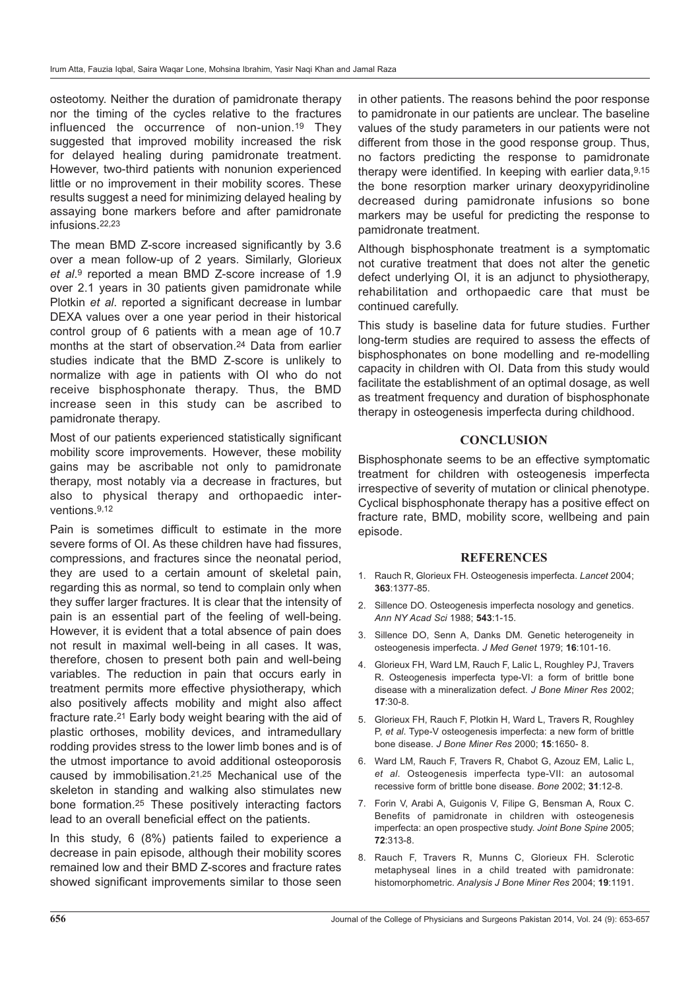osteotomy. Neither the duration of pamidronate therapy nor the timing of the cycles relative to the fractures influenced the occurrence of non-union.19 They suggested that improved mobility increased the risk for delayed healing during pamidronate treatment. However, two-third patients with nonunion experienced little or no improvement in their mobility scores. These results suggest a need for minimizing delayed healing by assaying bone markers before and after pamidronate infusions.22,23

The mean BMD Z-score increased significantly by 3.6 over a mean follow-up of 2 years. Similarly, Glorieux et al.9 reported a mean BMD Z-score increase of 1.9 over 2.1 years in 30 patients given pamidronate while Plotkin et al. reported a significant decrease in lumbar DEXA values over a one year period in their historical control group of 6 patients with a mean age of 10.7 months at the start of observation.24 Data from earlier studies indicate that the BMD Z-score is unlikely to normalize with age in patients with OI who do not receive bisphosphonate therapy. Thus, the BMD increase seen in this study can be ascribed to pamidronate therapy.

Most of our patients experienced statistically significant mobility score improvements. However, these mobility gains may be ascribable not only to pamidronate therapy, most notably via a decrease in fractures, but also to physical therapy and orthopaedic interventions.9,12

Pain is sometimes difficult to estimate in the more severe forms of OI. As these children have had fissures, compressions, and fractures since the neonatal period, they are used to a certain amount of skeletal pain, regarding this as normal, so tend to complain only when they suffer larger fractures. It is clear that the intensity of pain is an essential part of the feeling of well-being. However, it is evident that a total absence of pain does not result in maximal well-being in all cases. It was, therefore, chosen to present both pain and well-being variables. The reduction in pain that occurs early in treatment permits more effective physiotherapy, which also positively affects mobility and might also affect fracture rate.21 Early body weight bearing with the aid of plastic orthoses, mobility devices, and intramedullary rodding provides stress to the lower limb bones and is of the utmost importance to avoid additional osteoporosis caused by immobilisation.21,25 Mechanical use of the skeleton in standing and walking also stimulates new bone formation.25 These positively interacting factors lead to an overall beneficial effect on the patients.

In this study, 6 (8%) patients failed to experience a decrease in pain episode, although their mobility scores remained low and their BMD Z-scores and fracture rates showed significant improvements similar to those seen

in other patients. The reasons behind the poor response to pamidronate in our patients are unclear. The baseline values of the study parameters in our patients were not different from those in the good response group. Thus, no factors predicting the response to pamidronate therapy were identified. In keeping with earlier data,  $9,15$ the bone resorption marker urinary deoxypyridinoline decreased during pamidronate infusions so bone markers may be useful for predicting the response to pamidronate treatment.

Although bisphosphonate treatment is a symptomatic not curative treatment that does not alter the genetic defect underlying OI, it is an adjunct to physiotherapy, rehabilitation and orthopaedic care that must be continued carefully.

This study is baseline data for future studies. Further long-term studies are required to assess the effects of bisphosphonates on bone modelling and re-modelling capacity in children with OI. Data from this study would facilitate the establishment of an optimal dosage, as well as treatment frequency and duration of bisphosphonate therapy in osteogenesis imperfecta during childhood.

#### **CONCLUSION**

Bisphosphonate seems to be an effective symptomatic treatment for children with osteogenesis imperfecta irrespective of severity of mutation or clinical phenotype. Cyclical bisphosphonate therapy has a positive effect on fracture rate, BMD, mobility score, wellbeing and pain episode.

#### **REFERENCES**

- 1. Rauch R, Glorieux FH. Osteogenesis imperfecta. Lancet 2004; **363**:1377-85.
- 2. Sillence DO. Osteogenesis imperfecta nosology and genetics. Ann NY Acad Sci 1988; **543**:1-15.
- 3. Sillence DO, Senn A, Danks DM. Genetic heterogeneity in osteogenesis imperfecta. J Med Genet 1979; **16**:101-16.
- 4. Glorieux FH, Ward LM, Rauch F, Lalic L, Roughley PJ, Travers R. Osteogenesis imperfecta type-VI: a form of brittle bone disease with a mineralization defect. J Bone Miner Res 2002; **17**:30-8.
- 5. Glorieux FH, Rauch F, Plotkin H, Ward L, Travers R, Roughley P, et al. Type-V osteogenesis imperfecta: a new form of brittle bone disease. J Bone Miner Res 2000; **15**:1650- 8.
- 6. Ward LM, Rauch F, Travers R, Chabot G, Azouz EM, Lalic L, et al. Osteogenesis imperfecta type-VII: an autosomal recessive form of brittle bone disease. Bone 2002; **31**:12-8.
- 7. Forin V, Arabi A, Guigonis V, Filipe G, Bensman A, Roux C. Benefits of pamidronate in children with osteogenesis imperfecta: an open prospective study. Joint Bone Spine 2005; **72**:313-8.
- 8. Rauch F, Travers R, Munns C, Glorieux FH. Sclerotic metaphyseal lines in a child treated with pamidronate: histomorphometric. Analysis J Bone Miner Res 2004; **19**:1191.